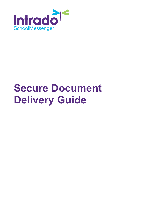

# **Secure Document Delivery Guide**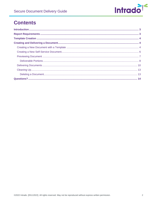

# **Contents**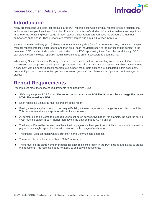

# <span id="page-2-0"></span>**Introduction**

Many organizations use tools that produce large PDF reports, filled with individual reports for each recipient that includes each recipient's unique ID number. For example, a school's student information system may output one large PDF file containing report cards for each student. Each report card will have the student's ID number somewhere on the page. These reports are typically printed and e-mailed to each individual.

Secure Document Delivery (SDD) allows you to automatically slice (burst) large PDF reports, containing multiple member reports, into individual reports and then email each individual report to the corresponding contact in the database. SDD matches individuals to their portion of the PDF report using their ID number. Additionally, SDD can protect each individual report by requiring recipients to enter a password to open the file.

When using Secure Document Delivery, there are two possible methods of creating your document. One requires the creation of a template created by our support team. The other is a self-service option that allows you to create a document without needing assistance from our support team. Both options are highlighted in this document, however if you do not see an option you wish to use on your account, please contact your account manager to discuss.

# <span id="page-2-1"></span>**Report Requirements**

Reports must meet the following requirements to be used with SDD:

- SDD only supports PDF format. **The report must be a native PDF file. It cannot be an image file, or an HTML file saved as a PDF.**
- Each recipient's unique ID must be present in the report.
- If using a template, the location of the unique ID field, in the report, must not change from recipient to recipient. This requirement does not apply to self-service documents.
- All content being delivered to a specific user must be on consecutive pages (for example, the data for Karina West must be pages 41 to 44 rather than having the data on pages 41, 44 and 86).
- The Unique ID must be present on at least the first page of each recipient's report. It can be present on multiple pages in any single report, but it must appear on the first page of each report.
- The unique IDs must match what is currently in the Communicate database.
- The report file must be smaller than 100 MB in file size.
- There must be the same number of pages for each recipient's report in the PDF if using a template to create the document. This restriction does not apply to self-service documents.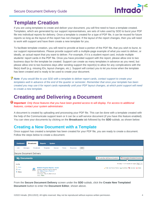

# <span id="page-3-0"></span>**Template Creation**

If you are using templates to create and deliver your document, you will first need to have a template created. Templates, which are generated by our support representatives, are sets of rules used by SDD to burst your PDF file into individual reports for delivery. Once a template is created for a type of PDF file, it can be reused for future reports so long as the layout of the report has not changed. If the layout of the report changes, then you will need to work with support and have them create a new template for you.

To facilitate template creation, you will need to provide at least a portion of the PDF file, that you wish to burst, to our support representatives. Please provide support with a multiple-page example of what you want to deliver, or ideally, an actual report that you want to deliver. For example, if it is a student report card, include multiple students' report cards in the PDF file. Once you have provided support with the report, please allow one to two business days for the template be created. Support can create as many templates in advance as you need, but please allow one to two business days after sending support the report(s) to allow for any complications with the file(s) itself (e.g. missing IDs, layout changes, etc.). Support will contact you to let you know when the template has been created and is ready to be used to create your document.

*Note: If you would like to use SDD with a template to deliver report cards, contact support to create your templates well in advance of the end of the quarter or semester. Remember that once your template has been created you may use it for report cards repeatedly until your PDF layout changes, at which point support will need to create a new template.*

# <span id="page-3-1"></span>**Creating and Delivering a Document**

*Important: Only those features that you have been granted access to will display. For access to additional features, contact your system administrator.*

A document is created by uploading and processing your PDF file. This can be done with a template created with the help of the Communicate support team or it can be a self-service document (if you have this feature enabled). You can view your documents by clicking on the **Broadcasts** tab followed by the **SDD** subtab, as shown below:

# <span id="page-3-2"></span>**Creating a New Document with a Template**

Once support has created a template has been created for your PDF file, you are ready to create a document. Follow the steps below to create a document.



From the **Secure Document Delivery** screen under the **SDD** subtab, click the **Create New Templated Document** button to enter the **Document Editor**, shown above.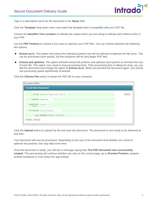

Type in a descriptive name for the document in the **Name** field.

Click the **Template** drop-down menu and select the template that is compatible with your PDF file.

Choose the **Identifier Text Location** to indicate the unique token you are using to indicate each distinct entry in your PDF.

Use the **PDF Portions** to choose if you want to optimize your PDF files. You can choose between the following two options:

- **Extract as-is**: This option will extract the individual portions but will not attempt to optimize the file sizes. This can be processed more quickly, but the recipients will be sent larger PDF files.
- **Extract and optimize**: This option will both extract the portions and optimize each portion to minimize the size of each file. This option may result in long processing times. If the processing time is taking too long, you can edit the document and change the option to **Extract as-is**. When you preview the document again, you should see processing speed significantly increased.

| <b>Create New Document</b> |                                                     |              |
|----------------------------|-----------------------------------------------------|--------------|
|                            | Name Springfield ES Reports Cards - May 2023        | <b>Guide</b> |
|                            | Template <b>C</b> Report Card<br>$\checkmark$       |              |
| Location                   | Identifier Text   Unique ID Y                       |              |
|                            | PDF Portions @ Extract and optimize<br>$\checkmark$ |              |
|                            | File Choose File Springfield E May 2023.pdf         |              |

Click the **Choose File** button to locate the PDF file on your computer.

Click the **Upload** button to upload the file and save the document. The document is now ready to be delivered at any time.

Your document will now be processed. Depending on the size of the document and whether you chose to optimize the portions, this may take some time.

Once the document is ready, you will see a message saying that **The PDF Document was successfully created**. This processing will continue whether you stay on the current page, go to **Preview Portions**, prepare another broadcast or even leave the app entirely.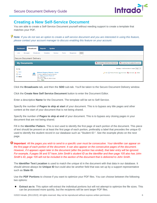

## <span id="page-5-0"></span>**Creating a New Self-Service Document**

You are able to create a Self-Service Document yourself without needing support to create a template that matches your PDF.

*Note: If you do not see an option to create a self-service document and you are interested in using this feature, please contact your account manager to discuss enabling this feature on your account.*

| <b>Dashboard</b>                           | <b>Broadcasts</b>     | <b>Reports</b>                                                                                                                                                                                   | <b>System</b> |       |           |            |                                                                   |
|--------------------------------------------|-----------------------|--------------------------------------------------------------------------------------------------------------------------------------------------------------------------------------------------|---------------|-------|-----------|------------|-------------------------------------------------------------------|
| Lists                                      | Messages              | <b>Broadcasts</b><br>Templates                                                                                                                                                                   | Surveys       | Forms | Responses | <b>SDD</b> |                                                                   |
| Secure Document Delivery                   |                       |                                                                                                                                                                                                  |               |       |           |            |                                                                   |
| <b>My Documents</b>                        |                       |                                                                                                                                                                                                  |               |       |           |            | Create New Self Service Document<br>Create New Templated Document |
| Sort By:                                   |                       |                                                                                                                                                                                                  |               |       |           |            | Showing 1 - 9 of 9 records on 1 pages   Page 1 $\vee$             |
| Name<br><b>Date</b><br><sup>@</sup> Status | $\boldsymbol{\varpi}$ | <b>Midterm Progress Reports - Xavier</b><br><b>Template: Midterm Progress Reports</b><br>File: Midterm Progress Report.pdf<br>Size: 545.78KB<br>Upload Date: May 10, 2022 4:38 pm<br>Status: New |               |       |           |            | Edit   Preview Portions   Send Email   La Download   X Delete     |

Click the **Broadcasts** tab, and then the **SDD** sub-tab. You'll be taken to the Secure Document Delivery window.

Click the **Create New Self Service Document** button to enter the Document Editor.

Enter a descriptive **Name** for the Document. The template will be set to Self-Service.

Specify the number of **Pages to skip at start** of your document. This is to bypass any title pages and other content at the start of your document that is not being shared.

Specify the number of **Pages to skip at end** of your document. This is to bypass any closing pages in your document that are not being shared.

Fill in the **Identifier Pattern**. This is text used to identify the first page of each portion of the document. This piece of text should be present on at least the first page of each portion, preferably a label that precedes the unique ID used to identify the student record in our database such as "Student ID:". See the example photo on the next page.

*Important:* All the pages you wish to send to a specific user must be consecutive. Your identifier can appear on *the first page of each portion of the document. It can also appear on the consecutive pages of the document. However, if it appears again later in the document (after the portion has ended), that later entry will be ignored. For example, if pages 56 and 57 have John Smith's student ID as the identifier and then page 105 also has John Smith's ID, page 105 will not be included in the section of the document that is delivered to John Smith.* 

The **Identifier Text Location** is used to match the unique id in the document with that data in our database. It should almost always be **Unique ID** but could also be another field that was set up by a support representative such as **State ID**.

Use the **PDF Portions** to choose if you want to optimize your PDF files. You can choose between the following two options:

**Extract as-is**: This option will extract the individual portions but will not attempt to optimize the file sizes. This can be processed more quickly, but the recipients will be sent larger PDF files.

©2022 Intrado. [05112022]. All rights reserved. May not be reproduced without express written permission. 6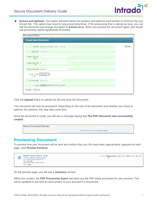

**Extract and optimize**: This option will both extract the portions and optimize each portion to minimize the size of each file. This option may result in long processing times. If the processing time is taking too long, you can edit the document and change the option to **Extract as-is**. When you preview the document again, you should see processing speed significantly increased.

| <b>Document Editor</b>              |                                            |                |
|-------------------------------------|--------------------------------------------|----------------|
| <b>Create New Document</b>          |                                            |                |
|                                     |                                            |                |
|                                     | Name Springwood ES Report Cards - May 2023 | <b>O</b> Guide |
|                                     | Template Self-Service v                    |                |
| Pages to skip at 3 5<br>start       |                                            |                |
| Pages to skip at @ 20<br>end        |                                            |                |
| Identifier Pattern Student ID:      |                                            |                |
| <b>Identifier Text</b><br>Location  | Unique ID $\sim$                           |                |
| PDF Portions <b>O</b> Extract as-is | $\checkmark$                               |                |
|                                     | File Choose File Springwood EMay 2023.pdf  |                |
| X Cancel<br><b>√</b> Upload         |                                            |                |

Click the **Upload** button to upload the file and save the Document.

Your document will now be processed. Depending on the size of the document and whether you chose to optimize the portions, this may take some time.

Once the document is ready, you will see a message saying that **The PDF Document was successfully created**.

| <b>Secure Document Delivery</b> |                                            |  |
|---------------------------------|--------------------------------------------|--|
|                                 | The PDF Document was successfully created. |  |

## <span id="page-6-0"></span>**Previewing Document**

To preview how your document will be sent and confirm that your IDs have been appropriately captured on each page, click **Preview Portions**.

| $\boldsymbol{\varpi}$ | Midterm Progress Reports - Xavier<br>Template: Midterm Progress Reports<br>File: Midterm Progress Report.pdf<br>Size: 545.78KB<br>Upload Date: May 10, 2022 4:38 pm<br>Status: New | Edit   Freview Portions   Send Email   Download   X Delete |
|-----------------------|------------------------------------------------------------------------------------------------------------------------------------------------------------------------------------|------------------------------------------------------------|
|-----------------------|------------------------------------------------------------------------------------------------------------------------------------------------------------------------------------|------------------------------------------------------------|

On the preview page, you will see a **Summary** section.

Within this section, the **PDF Processing Status** will show you the PDF being processed for your preview. This will be updated in real time as each portion of your document is processed.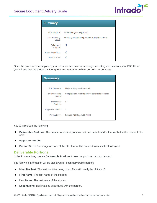

| <b>Summary</b>                         |                                                        |
|----------------------------------------|--------------------------------------------------------|
| <b>PDF Filename</b>                    | Midterm Progress Report.pdf                            |
| <b>PDF Processing</b><br><b>Status</b> | Extracting and optimizing portions. Completed 30 of 97 |
| <b>Deliverable</b><br>Portions         | ø                                                      |
| Pages Per Portion                      | ø                                                      |
| Portion Sizes                          |                                                        |

Once the process has completed, you will either see an error message indicating an issue with your PDF file or you will see that the process is **Complete and ready to deliver portions to contacts**.

| <b>Summary</b>                         |                                                    |
|----------------------------------------|----------------------------------------------------|
|                                        |                                                    |
| <b>PDF Filename</b>                    | Midterm Progress Report.pdf                        |
| <b>PDF Processing</b><br><b>Status</b> | Complete and ready to deliver portions to contacts |
| Deliverable<br>Portions                | 97                                                 |
| Pages Per Portion                      | 1                                                  |
| Portion Sizes                          | From 58.37KB up to 59.84KB                         |

You will also see the following:

- **Deliverable Portions**: The number of distinct portions that had been found in the file that fit the criteria to be  $\bullet$ sent.
- **Pages Per Portion**
- $\bullet$ **Portion Sizes**: The range of sizes of the files that will be emailed from smallest to largest.

#### <span id="page-7-0"></span>**Deliverable Portions**

In the Portions box, choose **Deliverable Portions** to see the portions that can be sent.

The following information will be displayed for each deliverable portion:

- **Identifier Text**: The text identifier being used. This will usually be Unique ID.
- **First Name:** The first name of the student.
- **Last Name**: The last name of the student.
- **Destinations**: Destinations associated with the portion.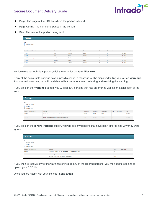

- **Page**: The page of the PDF file where the portion is found.
- **Page Count:** The number of pages in the portion
- **Size:** The size of the portion being sent.

| <b>Portions</b>                                                                                    |                   |                  |                     |                |            |         |
|----------------------------------------------------------------------------------------------------|-------------------|------------------|---------------------|----------------|------------|---------|
| <b>View</b><br><b>O</b> Deliverable portions<br>$\bigcirc$ Warnings<br>$\bigcirc$ Ignored portions |                   |                  |                     |                |            |         |
| Identifier text: Unique ID                                                                         | <b>First Name</b> | <b>Last Name</b> | <b>Destinations</b> | Page           | Page Count | Size    |
| 101977                                                                                             | Porter            | Klimecki         | emails: 1           |                |            | 58.78KB |
| 108533                                                                                             | Belia             | Selby            | emails: 1           | $\overline{2}$ |            | 59.00KB |
| 108954 See warnings                                                                                | <b>Darrick</b>    | Shrigley         | emails: 0           | 3              |            | 58,64KB |
| 109353                                                                                             | Gratiana          | Nawton           | emails: 1           |                |            | 58.81KB |
| 101375                                                                                             | Lexy              | Pengilly         | emails: 1           | 5              |            | 59.50KB |
| 100000                                                                                             | Dorena            | Tire             | emails: 1           | 6              |            | 59.34KB |

To download an individual portion, click the ID under the **Identifier Text**.

If any of the deliverable portions have a possible issue, a message will be displayed telling you to **See warnings**. Portions with a warning will still be delivered but we recommend reviewing and resolving the warning.

If you click on the **Warnings** button, you will see any portions that had an error as well as an explanation of the error.

| <b>Portions</b>                                                                           |                                                         |                   |                  |                     |      |            |             |
|-------------------------------------------------------------------------------------------|---------------------------------------------------------|-------------------|------------------|---------------------|------|------------|-------------|
| View<br>$\bigcirc$ Deliverable portions<br><b>Warnings</b><br>$\bigcirc$ lanored portions |                                                         |                   |                  |                     |      |            |             |
| <b>Identifier text: Unique ID</b>                                                         | Warnings                                                | <b>First Name</b> | <b>Last Name</b> | <b>Destinations</b> | Page | Page Count | <b>Size</b> |
| 108954                                                                                    | EMAIL: No email destinations were found for this person | Darrick           | Shrigley         | emails: 0           |      |            | 58.64KB     |
| 100046                                                                                    | EMAIL: No email destinations were found for this person | Lynn              | Clynman          | emails: 0           | 17   |            | 59.48KB     |

If you click on the **Ignore Portions** button, you will see any portions that have been ignored and why they were ignored.

| <b>Portions</b>                                                                          |                                                                  |      |            |
|------------------------------------------------------------------------------------------|------------------------------------------------------------------|------|------------|
| View<br>$\bigcirc$ Deliverable portions<br>$\circ$ Warnings<br><b>O</b> Ignored portions |                                                                  |      |            |
| <b>Identifier text: Unique ID</b>                                                        | Reason                                                           | Page | Page Count |
| 100012                                                                                   | UNKNOWN_IDENTIFIER: No person found that matches this identifier | 8    |            |
| 100016                                                                                   | UNKNOWN IDENTIFIER: No person found that matches this identifier |      |            |
|                                                                                          | MISSING_IDENTIFIER: No identifier found in portion               | 100  |            |

If you wish to resolve any of the warnings or include any of the ignored portions, you will need to edit and reupload your PDF file.

Once you are happy with your file, click **Send Email**.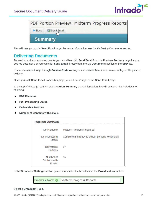

|      | PDF Portion Preview: Midterm Progress Reports |  |  |
|------|-----------------------------------------------|--|--|
| Back | Send Email                                    |  |  |
|      | <b>Summary</b>                                |  |  |

This will take you to the **Send Email** page. For more information, see the *Delivering Documents* section.

## <span id="page-9-0"></span>**Delivering Documents**

To send your document to recipients you can either click **Send Email** from the **Preview Portions** page for your desired document, or you can click **Send Email** directly from the **My Documents** section of the **SDD** tab.

It is recommended to go through **Preview Portions** so you can ensure there are no issues with your file prior to delivery.

Once you click **Send Email** from either page, you will be brought to the **Send Email** page.

At the top of the page, you will see a **Portion Summary** of the information that will be sent. This includes the following:

- **PDF Filename**
- **PDF Processing Status**
- **Deliverable Portions**
- **Number of Contacts with Emails**

| <b>PORTION SUMMARY</b>                      |                                                    |  |  |
|---------------------------------------------|----------------------------------------------------|--|--|
| <b>PDF Filename</b>                         | Midterm Progress Report.pdf                        |  |  |
| <b>PDF Processing</b><br><b>Status</b>      | Complete and ready to deliver portions to contacts |  |  |
| <b>Deliverable</b><br>Portions              | 97                                                 |  |  |
| Number of<br>Contacts with<br><b>Emails</b> | 95                                                 |  |  |

In the **Broadcast Settings** section type in a name for the broadcast in the **Broadcast Name** field.

Broadcast Name @ Midterm Progress Reports

#### Select a **Broadcast Type**.

©2022 Intrado. [05112022]. All rights reserved. May not be reproduced without express written permission. 10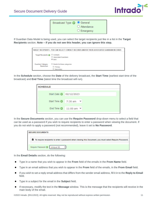## Secure Document Delivery Guide



| Broadcast Type @ General |                       |
|--------------------------|-----------------------|
|                          | $\bigcirc$ Attendance |
|                          | $\bigcirc$ Emergency  |

If Guardian Data Model is being used, you can select the target recipients just like in a list in the **Target Recipients** section. **Note – if you do not see this header, you can ignore this step.**

| TARGET RECIPIENTS - YOU CAN SELECT CONTACT RECORDS AND/OR THEIR ASSOCIATED GUARDIAN RECORDS |                                                       |  |
|---------------------------------------------------------------------------------------------|-------------------------------------------------------|--|
| Target Recipients @ © Contacts                                                              | Associated Guardians<br>® Both                        |  |
| Guardian Category<br>Restriction                                                            | Restrict to these categories:<br>Primary<br>Secondary |  |

In the **Schedule** section, choose the **Date** of the delivery broadcast, the **Start Time** (earliest start time of the broadcast) and **End Time** (latest time the broadcast will run).

| <b>SCHEDULE</b> |                                      |  |
|-----------------|--------------------------------------|--|
|                 | Start Date 2 02/12/2023              |  |
|                 | Start Time $\bigcirc$ 7:30 am $\vee$ |  |
|                 | End Time $\bigcirc$ 11:00 am $\vee$  |  |

In the **Secure Documents** section, you can use the **Require Password** drop-down menu to select a field that can be used as a password if you wish to require recipients to enter a password when viewing the document. If you do not wish to apply a password (not recommended), leave it set to **No Password**.

| <b>SECURE DOCUMENTS</b> |                                                                                                                   |
|-------------------------|-------------------------------------------------------------------------------------------------------------------|
|                         |                                                                                                                   |
|                         | <b>ft</b> To require recipients to enter a password when viewing this Document, you must select Require Password. |
|                         | Require Password   Unique ID                                                                                      |

In the **Email Details** section, do the following:

- Type in a name that you wish to appear in the **From** field of the emails in the **From Name** field.
- Type in an email address that you wish to appear in the **From** field of the emails, in the **From Email** field.
- If you wish to set a reply email address that differs from the sender email address, fill it in to the **Reply to Email**  field.
- Type in a subject for the email in the **Subject** field.
- If necessary, modify the text in the **Message** window. This is the message that the recipients will receive in the  $\bullet$ main body of the email.

©2022 Intrado. [05112022]. All rights reserved. May not be reproduced without express written permission. 11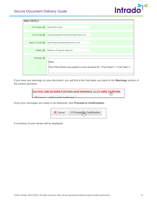

| <b>EMAIL DETAILS</b> |                                                                                                                                |
|----------------------|--------------------------------------------------------------------------------------------------------------------------------|
|                      | From Name C   SecureFile User                                                                                                  |
|                      | From Email @ broadcasts@schoolmessengermail.com                                                                                |
|                      | Reply To Email admin@yourexampledomain.com                                                                                     |
|                      | Subject <sup>O</sup> Midterm Progress Reports                                                                                  |
| Message <sup>O</sup> | Hello.<br>Your School District has prepared a secure document for < <first name="">&gt; &lt;<last name="">&gt;.</last></first> |

If you have any warnings on your document, you will find a link that leads you back to the **Warnings** section of the portion previews.

| CAUTION: ONE OR MORE PORTIONS HAVE WARNINGS. CLICK HERE TO REVIEW. |  |
|--------------------------------------------------------------------|--|
| <b>Drogood To Confirmation</b>                                     |  |

Once your messages are ready to be delivered, click **Proceed to Confirmation**.



A summary of your review will be displayed.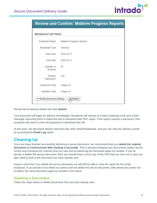

## **Review and Confirm: Midterm Progress Reports**

| <b>BROADCAST SETTINGS</b> |                          |
|---------------------------|--------------------------|
| <b>Broadcast Name</b>     | Midterm Progress Reports |
| <b>Broadcast Type</b>     | General                  |
|                           | Start Date 2023-02-11    |
|                           | End Date 2023-02-11      |
| Number of<br>Portions     | - 97                     |
| Require<br>Password?      | Yes                      |
| Password Field            | Unique ID                |
| <b>Identifier Field</b>   | Unique ID                |
| Modify Broadcast Settings | <b>Jim</b> Submit        |

Review the broadcast details and click **Submit**.

Your document will begin its delivery immediately. Recipients will receive an email containing a link and a brief message instructing them to follow the link to download their PDF report. If the report requires a password, then recipients will need to enter the password to download their file.

At this point, the document delivery becomes like other email Broadcasts, and you can view the delivery results by accessing the **Email Log** report.

# <span id="page-12-0"></span>**Cleaning Up**

Once you have finished successfully delivering a secure document, we recommend that you **delete the original document in Communicate after backing it up locally**. This is because keeping sent documents clutters up the screen and increases the chances that you may end up delivering the document again by mistake. If you do decide to delete the secure document, then you should keep a local copy of the PDF that you sent out in case you later need to look at the document you have already sent.

Keep in mind that if you delete the secure document you will still be able to view the report for the email broadcast. If you decide not to follow our advice and not delete the secure document, then please be careful not to deliver the same document again by mistake in the future.

### <span id="page-12-1"></span>**Deleting a Document**

Follow the steps below to delete documents that you have already sent.